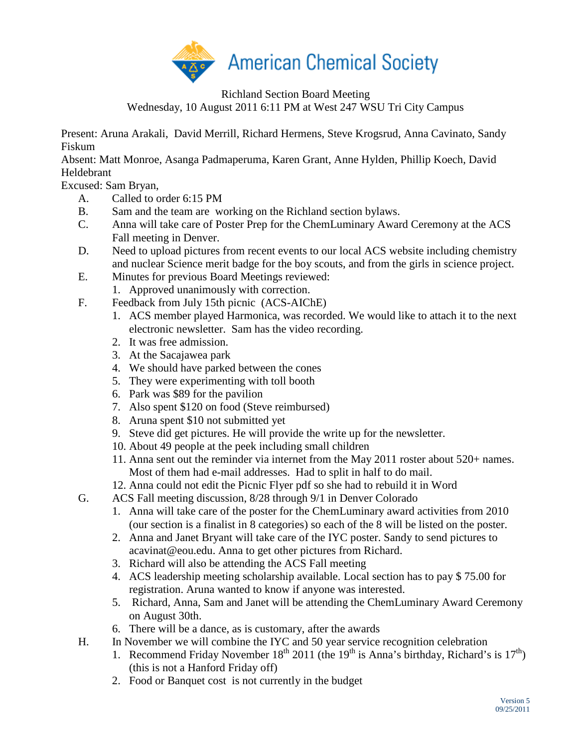

Richland Section Board Meeting

Wednesday, 10 August 2011 6:11 PM at West 247 WSU Tri City Campus

Present: Aruna Arakali, David Merrill, Richard Hermens, Steve Krogsrud, Anna Cavinato, Sandy Fiskum

Absent: Matt Monroe, Asanga Padmaperuma, Karen Grant, Anne Hylden, Phillip Koech, David Heldebrant

Excused: Sam Bryan,

- A. Called to order 6:15 PM
- B. Sam and the team are working on the Richland section bylaws.
- C. Anna will take care of Poster Prep for the ChemLuminary Award Ceremony at the ACS Fall meeting in Denver.
- D. Need to upload pictures from recent events to our local ACS website including chemistry and nuclear Science merit badge for the boy scouts, and from the girls in science project.
- E. Minutes for previous Board Meetings reviewed:
	- 1. Approved unanimously with correction.
- F. Feedback from July 15th picnic (ACS-AIChE)
	- 1. ACS member played Harmonica, was recorded. We would like to attach it to the next electronic newsletter. Sam has the video recording.
	- 2. It was free admission.
	- 3. At the Sacajawea park
	- 4. We should have parked between the cones
	- 5. They were experimenting with toll booth
	- 6. Park was \$89 for the pavilion
	- 7. Also spent \$120 on food (Steve reimbursed)
	- 8. Aruna spent \$10 not submitted yet
	- 9. Steve did get pictures. He will provide the write up for the newsletter.
	- 10. About 49 people at the peek including small children
	- 11. Anna sent out the reminder via internet from the May 2011 roster about 520+ names. Most of them had e-mail addresses. Had to split in half to do mail.
	- 12. Anna could not edit the Picnic Flyer pdf so she had to rebuild it in Word
- G. ACS Fall meeting discussion, 8/28 through 9/1 in Denver Colorado
	- 1. Anna will take care of the poster for the ChemLuminary award activities from 2010 (our section is a finalist in 8 categories) so each of the 8 will be listed on the poster.
	- 2. Anna and Janet Bryant will take care of the IYC poster. Sandy to send pictures to acavinat@eou.edu. Anna to get other pictures from Richard.
	- 3. Richard will also be attending the ACS Fall meeting
	- 4. ACS leadership meeting scholarship available. Local section has to pay \$ 75.00 for registration. Aruna wanted to know if anyone was interested.
	- 5. Richard, Anna, Sam and Janet will be attending the ChemLuminary Award Ceremony on August 30th.
	- 6. There will be a dance, as is customary, after the awards
- H. In November we will combine the IYC and 50 year service recognition celebration
	- 1. Recommend Friday November  $18^{th}$  2011 (the  $19^{th}$  is Anna's birthday, Richard's is  $17^{th}$ ) (this is not a Hanford Friday off)
	- 2. Food or Banquet cost is not currently in the budget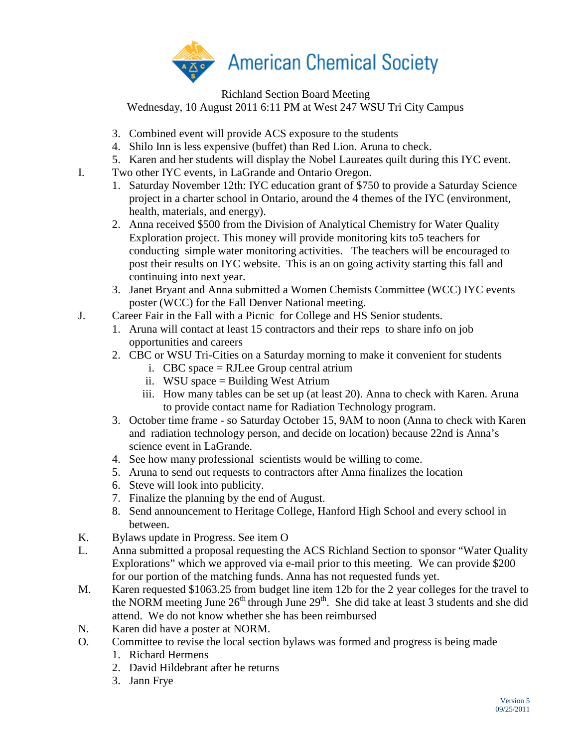

Richland Section Board Meeting Wednesday, 10 August 2011 6:11 PM at West 247 WSU Tri City Campus

- 3. Combined event will provide ACS exposure to the students
- 4. Shilo Inn is less expensive (buffet) than Red Lion. Aruna to check.
- 5. Karen and her students will display the Nobel Laureates quilt during this IYC event.
- I. Two other IYC events, in LaGrande and Ontario Oregon.
	- 1. Saturday November 12th: IYC education grant of \$750 to provide a Saturday Science project in a charter school in Ontario, around the 4 themes of the IYC (environment, health, materials, and energy).
	- 2. Anna received \$500 from the Division of Analytical Chemistry for Water Quality Exploration project. This money will provide monitoring kits to5 teachers for conducting simple water monitoring activities. The teachers will be encouraged to post their results on IYC website. This is an on going activity starting this fall and continuing into next year.
	- 3. Janet Bryant and Anna submitted a Women Chemists Committee (WCC) IYC events poster (WCC) for the Fall Denver National meeting.
- J. Career Fair in the Fall with a Picnic for College and HS Senior students.
	- 1. Aruna will contact at least 15 contractors and their reps to share info on job opportunities and careers
	- 2. CBC or WSU Tri-Cities on a Saturday morning to make it convenient for students
		- i. CBC space = RJLee Group central atrium
		- ii. WSU space = Building West Atrium
		- iii. How many tables can be set up (at least 20). Anna to check with Karen. Aruna to provide contact name for Radiation Technology program.
	- 3. October time frame so Saturday October 15, 9AM to noon (Anna to check with Karen and radiation technology person, and decide on location) because 22nd is Anna's science event in LaGrande.
	- 4. See how many professional scientists would be willing to come.
	- 5. Aruna to send out requests to contractors after Anna finalizes the location
	- 6. Steve will look into publicity.
	- 7. Finalize the planning by the end of August.
	- 8. Send announcement to Heritage College, Hanford High School and every school in between.
- K. Bylaws update in Progress. See item O
- L. Anna submitted a proposal requesting the ACS Richland Section to sponsor "Water Quality Explorations" which we approved via e-mail prior to this meeting. We can provide \$200 for our portion of the matching funds. Anna has not requested funds yet.
- M. Karen requested \$1063.25 from budget line item 12b for the 2 year colleges for the travel to the NORM meeting June  $26<sup>th</sup>$  through June  $29<sup>th</sup>$ . She did take at least 3 students and she did attend. We do not know whether she has been reimbursed
- N. Karen did have a poster at NORM.
- O. Committee to revise the local section bylaws was formed and progress is being made
	- 1. Richard Hermens
	- 2. David Hildebrant after he returns
	- 3. Jann Frye